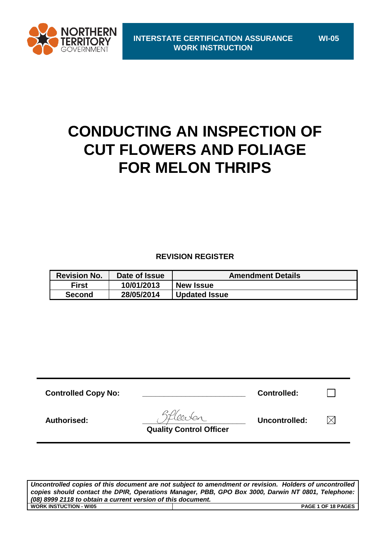

**WI-05**

# **CONDUCTING AN INSPECTION OF CUT FLOWERS AND FOLIAGE FOR MELON THRIPS**

**REVISION REGISTER**

| <b>Revision No.</b> | Date of Issue | <b>Amendment Details</b> |  |
|---------------------|---------------|--------------------------|--|
| <b>First</b>        | 10/01/2013    | <b>New Issue</b>         |  |
| <b>Second</b>       | 28/05/2014    | <b>Updated Issue</b>     |  |

| <b>Controlled Copy No:</b> |                                | <b>Controlled:</b> |          |
|----------------------------|--------------------------------|--------------------|----------|
| Authorised:                | <b>Quality Control Officer</b> | Uncontrolled:      | $\times$ |

*Uncontrolled copies of this document are not subject to amendment or revision. Holders of uncontrolled copies should contact the DPIR, Operations Manager, PBB, GPO Box 3000, Darwin NT 0801, Telephone: (08) 8999 2118 to obtain a current version of this document.* **WORK INSTUCTION - WI05 PAGE 1 OF 18 PAGES**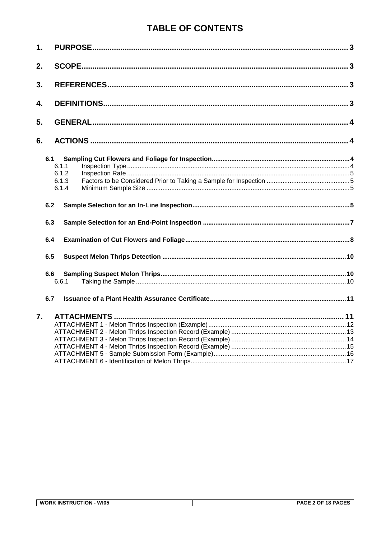# **TABLE OF CONTENTS**

| $\mathbf 1$ . |       |  |
|---------------|-------|--|
| 2.            |       |  |
| 3.            |       |  |
| 4.            |       |  |
| 5.            |       |  |
| 6.            |       |  |
|               | 6.1   |  |
|               | 6.1.1 |  |
|               | 6.1.2 |  |
|               | 6.1.3 |  |
|               | 6.1.4 |  |
|               | 6.2   |  |
|               | 6.3   |  |
|               | 6.4   |  |
|               | 6.5   |  |
|               | 6.6   |  |
|               | 6.6.1 |  |
|               | 6.7   |  |
| 7.            |       |  |
|               |       |  |
|               |       |  |
|               |       |  |
|               |       |  |
|               |       |  |
|               |       |  |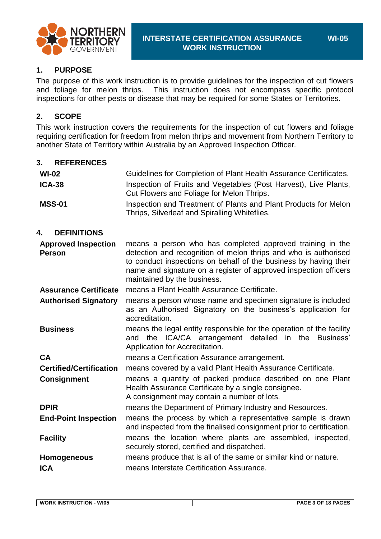

### **1. PURPOSE**

The purpose of this work instruction is to provide guidelines for the inspection of cut flowers and foliage for melon thrips. This instruction does not encompass specific protocol inspections for other pests or disease that may be required for some States or Territories.

### **2. SCOPE**

This work instruction covers the requirements for the inspection of cut flowers and foliage requiring certification for freedom from melon thrips and movement from Northern Territory to another State of Territory within Australia by an Approved Inspection Officer*.*

| 3.<br><b>REFERENCES</b>                     |                                                                                                                                                                                                                                                                                                     |
|---------------------------------------------|-----------------------------------------------------------------------------------------------------------------------------------------------------------------------------------------------------------------------------------------------------------------------------------------------------|
| $Wl-02$                                     | Guidelines for Completion of Plant Health Assurance Certificates.                                                                                                                                                                                                                                   |
| <b>ICA-38</b>                               | Inspection of Fruits and Vegetables (Post Harvest), Live Plants,<br>Cut Flowers and Foliage for Melon Thrips.                                                                                                                                                                                       |
| <b>MSS-01</b>                               | Inspection and Treatment of Plants and Plant Products for Melon<br>Thrips, Silverleaf and Spiralling Whiteflies.                                                                                                                                                                                    |
| <b>DEFINITIONS</b><br>4.                    |                                                                                                                                                                                                                                                                                                     |
| <b>Approved Inspection</b><br><b>Person</b> | means a person who has completed approved training in the<br>detection and recognition of melon thrips and who is authorised<br>to conduct inspections on behalf of the business by having their<br>name and signature on a register of approved inspection officers<br>maintained by the business. |
| <b>Assurance Certificate</b>                | means a Plant Health Assurance Certificate.                                                                                                                                                                                                                                                         |
| <b>Authorised Signatory</b>                 | means a person whose name and specimen signature is included<br>as an Authorised Signatory on the business's application for<br>accreditation.                                                                                                                                                      |
| <b>Business</b>                             | means the legal entity responsible for the operation of the facility<br>and the ICA/CA arrangement detailed<br>in the<br>Business'<br>Application for Accreditation.                                                                                                                                |
| <b>CA</b>                                   | means a Certification Assurance arrangement.                                                                                                                                                                                                                                                        |
| <b>Certified/Certification</b>              | means covered by a valid Plant Health Assurance Certificate.                                                                                                                                                                                                                                        |
| <b>Consignment</b>                          | means a quantity of packed produce described on one Plant<br>Health Assurance Certificate by a single consignee.<br>A consignment may contain a number of lots.                                                                                                                                     |
| <b>DPIR</b>                                 | means the Department of Primary Industry and Resources.                                                                                                                                                                                                                                             |
| <b>End-Point Inspection</b>                 | means the process by which a representative sample is drawn<br>and inspected from the finalised consignment prior to certification.                                                                                                                                                                 |
| <b>Facility</b>                             | means the location where plants are assembled, inspected,<br>securely stored, certified and dispatched.                                                                                                                                                                                             |
| <b>Homogeneous</b>                          | means produce that is all of the same or similar kind or nature.                                                                                                                                                                                                                                    |
| <b>ICA</b>                                  | means Interstate Certification Assurance.                                                                                                                                                                                                                                                           |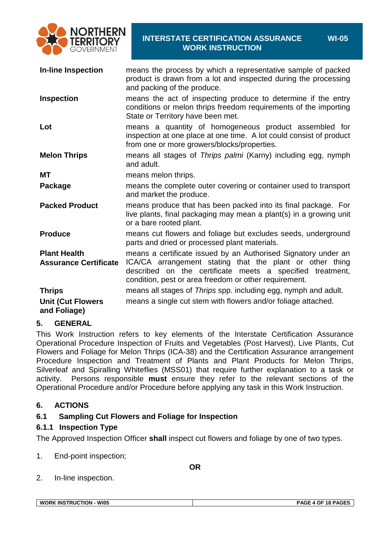

| <b>In-line Inspection</b>                           | means the process by which a representative sample of packed<br>product is drawn from a lot and inspected during the processing<br>and packing of the produce.                                                                                   |
|-----------------------------------------------------|--------------------------------------------------------------------------------------------------------------------------------------------------------------------------------------------------------------------------------------------------|
| <b>Inspection</b>                                   | means the act of inspecting produce to determine if the entry<br>conditions or melon thrips freedom requirements of the importing<br>State or Territory have been met.                                                                           |
| Lot                                                 | means a quantity of homogeneous product assembled for<br>inspection at one place at one time. A lot could consist of product<br>from one or more growers/blocks/properties.                                                                      |
| <b>Melon Thrips</b>                                 | means all stages of Thrips palmi (Karny) including egg, nymph<br>and adult.                                                                                                                                                                      |
| <b>MT</b>                                           | means melon thrips.                                                                                                                                                                                                                              |
| Package                                             | means the complete outer covering or container used to transport<br>and market the produce.                                                                                                                                                      |
| <b>Packed Product</b>                               | means produce that has been packed into its final package. For<br>live plants, final packaging may mean a plant(s) in a growing unit<br>or a bare rooted plant.                                                                                  |
| <b>Produce</b>                                      | means cut flowers and foliage but excludes seeds, underground<br>parts and dried or processed plant materials.                                                                                                                                   |
| <b>Plant Health</b><br><b>Assurance Certificate</b> | means a certificate issued by an Authorised Signatory under an<br>ICA/CA arrangement stating that the plant or other thing<br>described on the certificate meets a specified treatment,<br>condition, pest or area freedom or other requirement. |
| <b>Thrips</b>                                       | means all stages of Thrips spp. including egg, nymph and adult.                                                                                                                                                                                  |
| <b>Unit (Cut Flowers</b><br>and Foliage)            | means a single cut stem with flowers and/or foliage attached.                                                                                                                                                                                    |

#### **5. GENERAL**

This Work Instruction refers to key elements of the Interstate Certification Assurance Operational Procedure Inspection of Fruits and Vegetables (Post Harvest), Live Plants, Cut Flowers and Foliage for Melon Thrips (ICA-38) and the Certification Assurance arrangement Procedure Inspection and Treatment of Plants and Plant Products for Melon Thrips, Silverleaf and Spiralling Whiteflies (MSS01) that require further explanation to a task or activity. Persons responsible **must** ensure they refer to the relevant sections of the Operational Procedure and/or Procedure before applying any task in this Work Instruction.

#### **6. ACTIONS**

### **6.1 Sampling Cut Flowers and Foliage for Inspection**

#### <span id="page-3-0"></span>**6.1.1 Inspection Type**

The Approved Inspection Officer **shall** inspect cut flowers and foliage by one of two types.

1. End-point inspection;

**OR**

2. In-line inspection.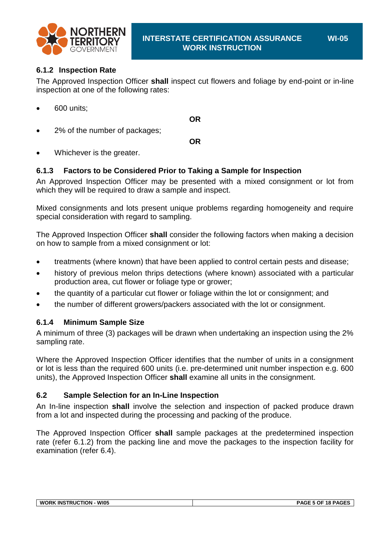

### <span id="page-4-0"></span>**6.1.2 Inspection Rate**

The Approved Inspection Officer **shall** inspect cut flowers and foliage by end-point or in-line inspection at one of the following rates:

600 units;

2% of the number of packages;

**OR**

**OR**

Whichever is the greater.

### **6.1.3 Factors to be Considered Prior to Taking a Sample for Inspection**

An Approved Inspection Officer may be presented with a mixed consignment or lot from which they will be required to draw a sample and inspect.

Mixed consignments and lots present unique problems regarding homogeneity and require special consideration with regard to sampling.

The Approved Inspection Officer **shall** consider the following factors when making a decision on how to sample from a mixed consignment or lot:

- treatments (where known) that have been applied to control certain pests and disease;
- history of previous melon thrips detections (where known) associated with a particular production area, cut flower or foliage type or grower;
- the quantity of a particular cut flower or foliage within the lot or consignment; and
- the number of different growers/packers associated with the lot or consignment.

### **6.1.4 Minimum Sample Size**

A minimum of three (3) packages will be drawn when undertaking an inspection using the 2% sampling rate.

Where the Approved Inspection Officer identifies that the number of units in a consignment or lot is less than the required 600 units (i.e. pre-determined unit number inspection e.g. 600 units), the Approved Inspection Officer **shall** examine all units in the consignment.

### **6.2 Sample Selection for an In-Line Inspection**

An In-line inspection **shall** involve the selection and inspection of packed produce drawn from a lot and inspected during the processing and packing of the produce.

The Approved Inspection Officer **shall** sample packages at the predetermined inspection rate [\(refer 6.1.2\)](#page-4-0) from the packing line and move the packages to the inspection facility for examination [\(refer 6.4\)](#page-7-0).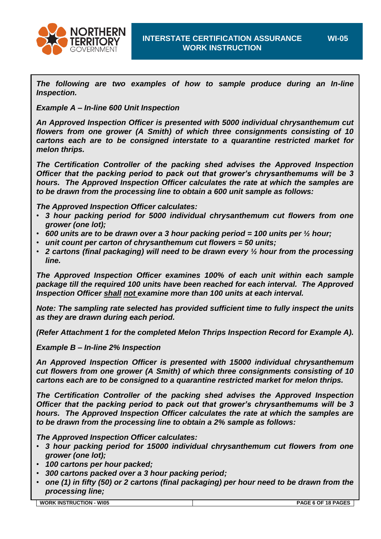

*The following are two examples of how to sample produce during an In-line Inspection.*

*Example A – In-line 600 Unit Inspection*

*An Approved Inspection Officer is presented with 5000 individual chrysanthemum cut flowers from one grower (A Smith) of which three consignments consisting of 10 cartons each are to be consigned interstate to a quarantine restricted market for melon thrips.*

*The Certification Controller of the packing shed advises the Approved Inspection Officer that the packing period to pack out that grower's chrysanthemums will be 3 hours. The Approved Inspection Officer calculates the rate at which the samples are to be drawn from the processing line to obtain a 600 unit sample as follows:*

*The Approved Inspection Officer calculates:*

- *3 hour packing period for 5000 individual chrysanthemum cut flowers from one grower (one lot);*
- *600 units are to be drawn over a 3 hour packing period = 100 units per ½ hour;*
- *unit count per carton of chrysanthemum cut flowers = 50 units;*
- *2 cartons (final packaging) will need to be drawn every ½ hour from the processing line.*

*The Approved Inspection Officer examines 100% of each unit within each sample package till the required 100 units have been reached for each interval. The Approved Inspection Officer shall not examine more than 100 units at each interval.*

*Note: The sampling rate selected has provided sufficient time to fully inspect the units as they are drawn during each period.*

*(Refer Attachment 1 for the completed Melon Thrips Inspection Record for Example A).*

*Example B – In-line 2% Inspection*

*An Approved Inspection Officer is presented with 15000 individual chrysanthemum cut flowers from one grower (A Smith) of which three consignments consisting of 10 cartons each are to be consigned to a quarantine restricted market for melon thrips.*

*The Certification Controller of the packing shed advises the Approved Inspection Officer that the packing period to pack out that grower's chrysanthemums will be 3 hours. The Approved Inspection Officer calculates the rate at which the samples are to be drawn from the processing line to obtain a 2% sample as follows:*

*The Approved Inspection Officer calculates:*

- *3 hour packing period for 15000 individual chrysanthemum cut flowers from one grower (one lot);*
- *100 cartons per hour packed;*
- *300 cartons packed over a 3 hour packing period;*
- *one (1) in fifty (50) or 2 cartons (final packaging) per hour need to be drawn from the processing line;*

**WORK INSTRUCTION - WI05 PAGE 6 OF 18 PAGES**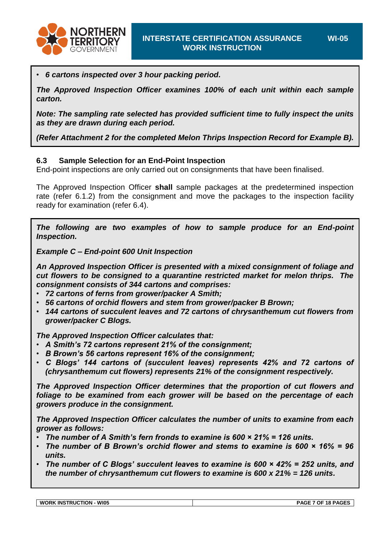

*The Approved Inspection Officer examines 100% of each unit within each sample carton.*

*Note: The sampling rate selected has provided sufficient time to fully inspect the units as they are drawn during each period.*

*(Refer [Attachment 2](#page-12-0) for the completed Melon Thrips Inspection Record for Example B).*

#### **6.3 Sample Selection for an End-Point Inspection**

End-point inspections are only carried out on consignments that have been finalised.

The Approved Inspection Officer **shall** sample packages at the predetermined inspection rate [\(refer 6.1.2\)](#page-4-0) from the consignment and move the packages to the inspection facility ready for examination [\(refer 6.4\)](#page-7-0).

*The following are two examples of how to sample produce for an End-point Inspection.*

*Example C – End-point 600 Unit Inspection*

*An Approved Inspection Officer is presented with a mixed consignment of foliage and cut flowers to be consigned to a quarantine restricted market for melon thrips. The consignment consists of 344 cartons and comprises:*

- *72 cartons of ferns from grower/packer A Smith;*
- *56 cartons of orchid flowers and stem from grower/packer B Brown;*
- *144 cartons of succulent leaves and 72 cartons of chrysanthemum cut flowers from grower/packer C Blogs.*

*The Approved Inspection Officer calculates that:*

- *A Smith's 72 cartons represent 21% of the consignment;*
- *B Brown's 56 cartons represent 16% of the consignment;*
- *C Blogs' 144 cartons of (succulent leaves) represents 42% and 72 cartons of (chrysanthemum cut flowers) represents 21% of the consignment respectively.*

*The Approved Inspection Officer determines that the proportion of cut flowers and foliage to be examined from each grower will be based on the percentage of each growers produce in the consignment.*

*The Approved Inspection Officer calculates the number of units to examine from each grower as follows:*

- *The number of A Smith's fern fronds to examine is 600 × 21% = 126 units.*
- *The number of B Brown's orchid flower and stems to examine is 600 × 16% = 96 units.*
- *The number of C Blogs' succulent leaves to examine is 600 × 42% = 252 units, and the number of chrysanthemum cut flowers to examine is 600 x 21% = 126 units.*

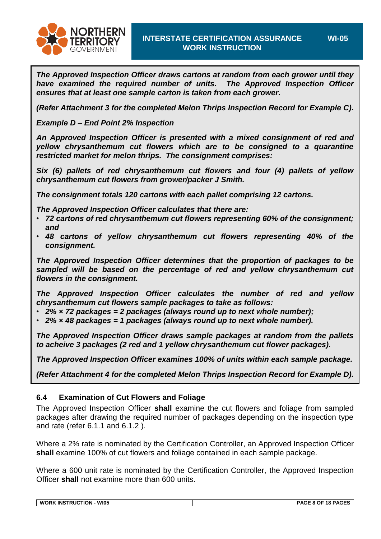

*The Approved Inspection Officer draws cartons at random from each grower until they have examined the required number of units. The Approved Inspection Officer ensures that at least one sample carton is taken from each grower.*

*(Refer [Attachment 3](#page-13-0) for the completed Melon Thrips Inspection Record for Example C).*

*Example D – End Point 2% Inspection*

*An Approved Inspection Officer is presented with a mixed consignment of red and yellow chrysanthemum cut flowers which are to be consigned to a quarantine restricted market for melon thrips. The consignment comprises:*

*Six (6) pallets of red chrysanthemum cut flowers and four (4) pallets of yellow chrysanthemum cut flowers from grower/packer J Smith.*

*The consignment totals 120 cartons with each pallet comprising 12 cartons.*

*The Approved Inspection Officer calculates that there are:*

- *72 cartons of red chrysanthemum cut flowers representing 60% of the consignment; and*
- *48 cartons of yellow chrysanthemum cut flowers representing 40% of the consignment.*

*The Approved Inspection Officer determines that the proportion of packages to be sampled will be based on the percentage of red and yellow chrysanthemum cut flowers in the consignment.*

*The Approved Inspection Officer calculates the number of red and yellow chrysanthemum cut flowers sample packages to take as follows:*

- *2% × 72 packages = 2 packages (always round up to next whole number);*
- *2% × 48 packages = 1 packages (always round up to next whole number).*

*The Approved Inspection Officer draws sample packages at random from the pallets to acheive 3 packages (2 red and 1 yellow chrysanthemum cut flower packages).*

*The Approved Inspection Officer examines 100% of units within each sample package.*

*(Refer [Attachment 4](#page-11-0) for the completed Melon Thrips Inspection Record for Example D).*

#### <span id="page-7-0"></span>**6.4 Examination of Cut Flowers and Foliage**

The Approved Inspection Officer **shall** examine the cut flowers and foliage from sampled packages after drawing the required number of packages depending on the inspection type and rate (refer [6.1.1](#page-3-0) and [6.1.2 \)](#page-4-0).

Where a 2% rate is nominated by the Certification Controller, an Approved Inspection Officer **shall** examine 100% of cut flowers and foliage contained in each sample package.

Where a 600 unit rate is nominated by the Certification Controller, the Approved Inspection Officer **shall** not examine more than 600 units.

**WORK INSTRUCTION - WI05 PAGE 8 OF 18 PAGES**

**WI-05**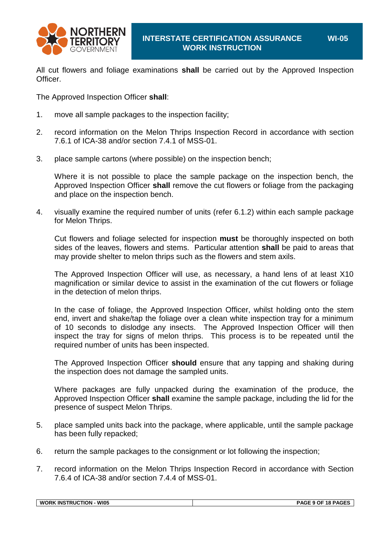

All cut flowers and foliage examinations **shall** be carried out by the Approved Inspection Officer.

The Approved Inspection Officer **shall**:

- 1. move all sample packages to the inspection facility;
- 2. record information on the Melon Thrips Inspection Record in accordance with section 7.6.1 of ICA-38 and/or section 7.4.1 of MSS-01.
- 3. place sample cartons (where possible) on the inspection bench;

Where it is not possible to place the sample package on the inspection bench, the Approved Inspection Officer **shall** remove the cut flowers or foliage from the packaging and place on the inspection bench.

4. visually examine the required number of units [\(refer 6.1.2\)](#page-4-0) within each sample package for Melon Thrips.

Cut flowers and foliage selected for inspection **must** be thoroughly inspected on both sides of the leaves, flowers and stems. Particular attention **shall** be paid to areas that may provide shelter to melon thrips such as the flowers and stem axils.

The Approved Inspection Officer will use, as necessary, a hand lens of at least X10 magnification or similar device to assist in the examination of the cut flowers or foliage in the detection of melon thrips.

In the case of foliage, the Approved Inspection Officer, whilst holding onto the stem end, invert and shake/tap the foliage over a clean white inspection tray for a minimum of 10 seconds to dislodge any insects. The Approved Inspection Officer will then inspect the tray for signs of melon thrips. This process is to be repeated until the required number of units has been inspected.

The Approved Inspection Officer **should** ensure that any tapping and shaking during the inspection does not damage the sampled units.

Where packages are fully unpacked during the examination of the produce, the Approved Inspection Officer **shall** examine the sample package, including the lid for the presence of suspect Melon Thrips.

- 5. place sampled units back into the package, where applicable, until the sample package has been fully repacked;
- 6. return the sample packages to the consignment or lot following the inspection;
- 7. record information on the Melon Thrips Inspection Record in accordance with Section 7.6.4 of ICA-38 and/or section 7.4.4 of MSS-01.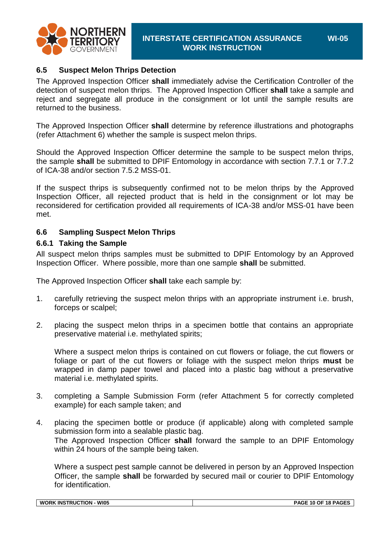

#### **6.5 Suspect Melon Thrips Detection**

The Approved Inspection Officer **shall** immediately advise the Certification Controller of the detection of suspect melon thrips. The Approved Inspection Officer **shall** take a sample and reject and segregate all produce in the consignment or lot until the sample results are returned to the business.

The Approved Inspection Officer **shall** determine by reference illustrations and photographs (refer [Attachment 6\)](#page-16-0) whether the sample is suspect melon thrips.

Should the Approved Inspection Officer determine the sample to be suspect melon thrips, the sample **shall** be submitted to DPIF Entomology in accordance with section 7.7.1 or 7.7.2 of ICA-38 and/or section 7.5.2 MSS-01.

If the suspect thrips is subsequently confirmed not to be melon thrips by the Approved Inspection Officer, all rejected product that is held in the consignment or lot may be reconsidered for certification provided all requirements of ICA-38 and/or MSS-01 have been met.

#### **6.6 Sampling Suspect Melon Thrips**

#### **6.6.1 Taking the Sample**

All suspect melon thrips samples must be submitted to DPIF Entomology by an Approved Inspection Officer. Where possible, more than one sample **shall** be submitted.

The Approved Inspection Officer **shall** take each sample by:

- 1. carefully retrieving the suspect melon thrips with an appropriate instrument i.e. brush, forceps or scalpel;
- 2. placing the suspect melon thrips in a specimen bottle that contains an appropriate preservative material i.e. methylated spirits;

Where a suspect melon thrips is contained on cut flowers or foliage, the cut flowers or foliage or part of the cut flowers or foliage with the suspect melon thrips **must** be wrapped in damp paper towel and placed into a plastic bag without a preservative material i.e. methylated spirits.

- 3. completing a Sample Submission Form (refer [Attachment 5](#page-15-0) for correctly completed example) for each sample taken; and
- 4. placing the specimen bottle or produce (if applicable) along with completed sample submission form into a sealable plastic bag. The Approved Inspection Officer **shall** forward the sample to an DPIF Entomology within 24 hours of the sample being taken.

Where a suspect pest sample cannot be delivered in person by an Approved Inspection Officer, the sample **shall** be forwarded by secured mail or courier to DPIF Entomology for identification.

| <b>WI05</b><br><b>WORK INSTRUCT</b><br><b>FION</b> | $-10$ OF 18 PAGF <sup><math>\epsilon</math></sup><br>PAGE 10 |
|----------------------------------------------------|--------------------------------------------------------------|
|                                                    |                                                              |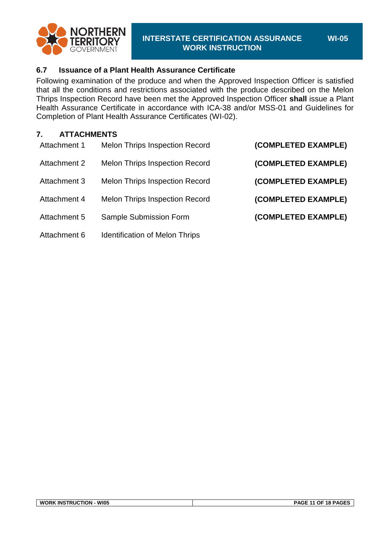

#### **WI-05**

#### **6.7 Issuance of a Plant Health Assurance Certificate**

Following examination of the produce and when the Approved Inspection Officer is satisfied that all the conditions and restrictions associated with the produce described on the Melon Thrips Inspection Record have been met the Approved Inspection Officer **shall** issue a Plant Health Assurance Certificate in accordance with ICA-38 and/or MSS-01 and Guidelines for Completion of Plant Health Assurance Certificates (WI-02).

#### **7. ATTACHMENTS**

| (COMPLETED EXAMPLE) | <b>Melon Thrips Inspection Record</b> | Attachment 1 |
|---------------------|---------------------------------------|--------------|
| (COMPLETED EXAMPLE) | <b>Melon Thrips Inspection Record</b> | Attachment 2 |
| (COMPLETED EXAMPLE) | <b>Melon Thrips Inspection Record</b> | Attachment 3 |
| (COMPLETED EXAMPLE) | <b>Melon Thrips Inspection Record</b> | Attachment 4 |
| (COMPLETED EXAMPLE) | Sample Submission Form                | Attachment 5 |
|                     | <b>Identification of Melon Thrips</b> | Attachment 6 |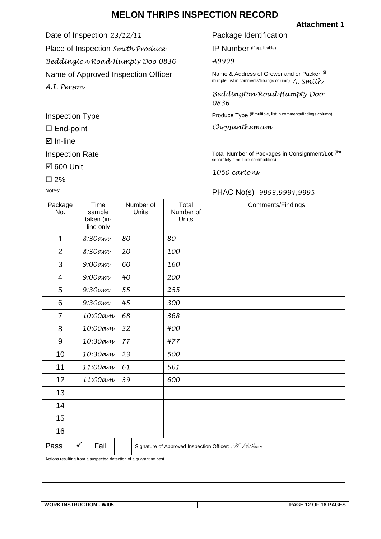**Attachment 1**

<span id="page-11-0"></span>

| Date of Inspection 23/12/11       |                      |                                                                   | Package Identification    |                                                                                                    |
|-----------------------------------|----------------------|-------------------------------------------------------------------|---------------------------|----------------------------------------------------------------------------------------------------|
| Place of Inspection Smith Produce |                      |                                                                   | IP Number (if applicable) |                                                                                                    |
| Beddington Road Humpty Doo 0836   |                      |                                                                   | A9999                     |                                                                                                    |
|                                   |                      | Name of Approved Inspection Officer                               |                           | Name & Address of Grower and or Packer (if<br>multiple, list in comments/findings column) A. Smith |
| A.I. Person                       |                      |                                                                   |                           | Beddington Road Humpty Doo                                                                         |
|                                   |                      |                                                                   |                           | 0836                                                                                               |
| <b>Inspection Type</b>            |                      |                                                                   |                           | Produce Type (if multiple, list in comments/findings column)                                       |
| $\square$ End-point               |                      |                                                                   |                           | Chrysanthemum                                                                                      |
| ⊠ In-line                         |                      |                                                                   |                           |                                                                                                    |
| <b>Inspection Rate</b>            |                      |                                                                   |                           | Total Number of Packages in Consignment/Lot (list<br>separately if multiple commodities)           |
| ☑ 600 Unit                        |                      |                                                                   |                           | 1050 cartons                                                                                       |
| $\square$ 2%                      |                      |                                                                   |                           |                                                                                                    |
| Notes:                            |                      |                                                                   |                           | PHAC No(s) 9993,9994,9995                                                                          |
| Package<br>No.                    | Time<br>sample       | Number of<br>Units                                                | Total<br>Number of        | Comments/Findings                                                                                  |
|                                   | taken (in-           |                                                                   | Units                     |                                                                                                    |
| 1                                 | line only<br>8:30am  | 80                                                                | 80                        |                                                                                                    |
| $\overline{2}$                    | 8:30am               | 20                                                                | 100                       |                                                                                                    |
| 3                                 | $9:00$ am            | 60                                                                | 160                       |                                                                                                    |
| 4                                 | $9:00$ am            | 40                                                                | 200                       |                                                                                                    |
| 5                                 | $9:30$ am            | 55                                                                | 255                       |                                                                                                    |
| 6                                 | $9:30$ am            | 45                                                                | 300                       |                                                                                                    |
| 7                                 | 10:00am              | 68                                                                | 368                       |                                                                                                    |
| 8                                 | 10:00am              | 32                                                                | 400                       |                                                                                                    |
| 9                                 | 10:30am              | 77                                                                | 477                       |                                                                                                    |
| 10                                | 10:30am              | 23                                                                | 500                       |                                                                                                    |
| 11                                | 11:00am              | 61                                                                | 561                       |                                                                                                    |
| 12                                | 11:00am              | 39                                                                | 600                       |                                                                                                    |
| 13                                |                      |                                                                   |                           |                                                                                                    |
| 14                                |                      |                                                                   |                           |                                                                                                    |
| 15                                |                      |                                                                   |                           |                                                                                                    |
| 16                                |                      |                                                                   |                           |                                                                                                    |
| Pass                              | $\checkmark$<br>Fail |                                                                   |                           | Signature of Approved Inspection Officer: AJ Person                                                |
|                                   |                      | Actions resulting from a suspected detection of a quarantine pest |                           |                                                                                                    |
|                                   |                      |                                                                   |                           |                                                                                                    |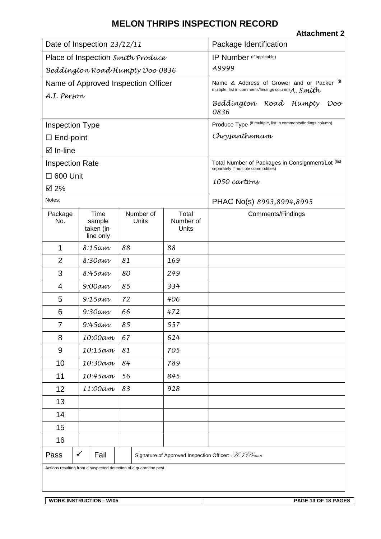<span id="page-12-0"></span>

|                                                                   |                                           |                    |                                                                                                        | <b>Attachment 2</b>                                                                      |  |
|-------------------------------------------------------------------|-------------------------------------------|--------------------|--------------------------------------------------------------------------------------------------------|------------------------------------------------------------------------------------------|--|
| Date of Inspection 23/12/11                                       |                                           |                    | Package Identification                                                                                 |                                                                                          |  |
| Place of Inspection Smith Produce                                 |                                           |                    | IP Number (if applicable)                                                                              |                                                                                          |  |
| Beddington Road Humpty Doo 0836                                   |                                           |                    | A9999                                                                                                  |                                                                                          |  |
| Name of Approved Inspection Officer                               |                                           |                    | Name & Address of Grower and or Packer (if<br>multiple, list in comments/findings column) $A.$ $Smith$ |                                                                                          |  |
| A.I. Person                                                       |                                           |                    |                                                                                                        | Beddington Road Humpty<br>Doo<br>0836                                                    |  |
| <b>Inspection Type</b>                                            |                                           |                    |                                                                                                        | Produce Type (if multiple, list in comments/findings column)                             |  |
| $\Box$ End-point                                                  |                                           |                    |                                                                                                        | Chrysanthemum                                                                            |  |
| ⊠ In-line                                                         |                                           |                    |                                                                                                        |                                                                                          |  |
| <b>Inspection Rate</b>                                            |                                           |                    |                                                                                                        | Total Number of Packages in Consignment/Lot (list<br>separately if multiple commodities) |  |
| $\Box$ 600 Unit                                                   |                                           |                    |                                                                                                        | 1050 cavtons                                                                             |  |
| ☑ 2%                                                              |                                           |                    |                                                                                                        |                                                                                          |  |
| Notes:                                                            |                                           |                    |                                                                                                        | PHAC No(s) 8993,8994,8995                                                                |  |
| Package<br>No.                                                    | Time<br>sample<br>taken (in-<br>line only | Number of<br>Units | Total<br>Number of<br>Units                                                                            | <b>Comments/Findings</b>                                                                 |  |
| 1                                                                 | $8:15$ am                                 | 88                 | 88                                                                                                     |                                                                                          |  |
| $\overline{2}$                                                    | 8:30am                                    | 81                 | 169                                                                                                    |                                                                                          |  |
| 3                                                                 | 8:45 am                                   | 80                 | 249                                                                                                    |                                                                                          |  |
| 4                                                                 | $9:00$ am                                 | 85                 | 334                                                                                                    |                                                                                          |  |
| 5                                                                 | $9:15$ am                                 | 72                 | 406                                                                                                    |                                                                                          |  |
| 6                                                                 | $9:30$ am                                 | 66                 | 472                                                                                                    |                                                                                          |  |
| $\overline{7}$                                                    | $9:45$ am                                 | 85                 | 557                                                                                                    |                                                                                          |  |
| 8                                                                 | 10:00am                                   | 67                 | 624                                                                                                    |                                                                                          |  |
| 9                                                                 | $10:15$ am                                | 81                 | 705                                                                                                    |                                                                                          |  |
| 10                                                                | 10:30am                                   | 84                 | 789                                                                                                    |                                                                                          |  |
| 11                                                                | $10:45$ am                                | 56                 | 845                                                                                                    |                                                                                          |  |
| 12                                                                | 11:00am                                   | 83                 | 928                                                                                                    |                                                                                          |  |
| 13                                                                |                                           |                    |                                                                                                        |                                                                                          |  |
| 14                                                                |                                           |                    |                                                                                                        |                                                                                          |  |
| 15                                                                |                                           |                    |                                                                                                        |                                                                                          |  |
| 16                                                                |                                           |                    |                                                                                                        |                                                                                          |  |
| Pass                                                              | ✓<br>Fail                                 |                    |                                                                                                        | Signature of Approved Inspection Officer: AJ Person                                      |  |
| Actions resulting from a suspected detection of a quarantine pest |                                           |                    |                                                                                                        |                                                                                          |  |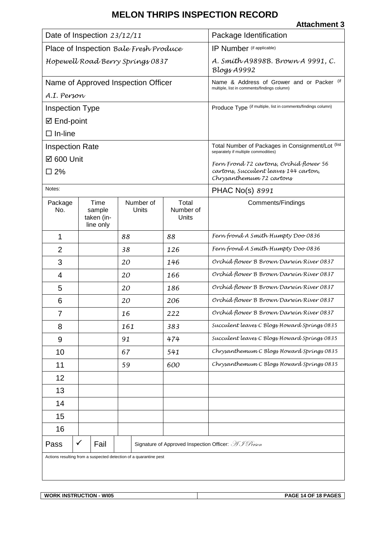**Attachment 3**

<span id="page-13-0"></span>

| Date of Inspection 23/12/11                                       |                                           |                                     | Package Identification                             |                                                                                           |  |
|-------------------------------------------------------------------|-------------------------------------------|-------------------------------------|----------------------------------------------------|-------------------------------------------------------------------------------------------|--|
| Place of Inspection Bale Fresh Produce                            |                                           |                                     | IP Number (if applicable)                          |                                                                                           |  |
| Hopewell Road Berry Springs 0837                                  |                                           |                                     | A. Smith A9898B. Brown A 9991, C.<br>$Blogx$ A9992 |                                                                                           |  |
|                                                                   |                                           | Name of Approved Inspection Officer |                                                    | Name & Address of Grower and or Packer (if<br>multiple, list in comments/findings column) |  |
| A.I. Person                                                       |                                           |                                     |                                                    |                                                                                           |  |
| <b>Inspection Type</b>                                            |                                           |                                     |                                                    | Produce Type (if multiple, list in comments/findings column)                              |  |
| ☑ End-point                                                       |                                           |                                     |                                                    |                                                                                           |  |
| $\Box$ In-line                                                    |                                           |                                     |                                                    |                                                                                           |  |
| <b>Inspection Rate</b>                                            |                                           |                                     |                                                    | Total Number of Packages in Consignment/Lot (list<br>separately if multiple commodities)  |  |
| ☑ 600 Unit                                                        |                                           |                                     |                                                    | Fern Frond 72 cartons, Orchíd flower 56                                                   |  |
| □ 2%                                                              |                                           |                                     |                                                    | cartons, Succulent leaves 144 carton,<br>Chrysanthemum 72 cartons                         |  |
| Notes:                                                            |                                           |                                     |                                                    | PHAC No(s) 8991                                                                           |  |
| Package<br>No.                                                    | Time<br>sample<br>taken (in-<br>line only | Number of<br>Units                  | Total<br>Number of<br>Units                        | <b>Comments/Findings</b>                                                                  |  |
| 1                                                                 |                                           | 88                                  | 88                                                 | Fern frond A Smith Humpty Doo 0836                                                        |  |
| 2                                                                 |                                           | 38                                  | 126                                                | Fern frond A Smith Humpty Doo 0836                                                        |  |
| 3                                                                 |                                           | 20                                  | 146                                                | Orchid flower B Brown Darwin River 0837                                                   |  |
| 4                                                                 |                                           | 20                                  | 166                                                | Orchid flower B Brown Darwin River 0837                                                   |  |
| 5                                                                 |                                           | 20                                  | 186                                                | Orchid flower B Brown Darwin River 0837                                                   |  |
| 6                                                                 |                                           | 20                                  | 206                                                | Orchid flower B Brown Darwin River 0837                                                   |  |
| 7                                                                 |                                           | 16                                  | 222                                                | Orchid flower B Brown Darwin River 0837                                                   |  |
| 8                                                                 |                                           | 161                                 | 383                                                | Succulent leaves C Blogs Howard Springs 0835                                              |  |
| 9                                                                 |                                           | 91                                  | 474                                                | Succulent leaves C Blogs Howard Springs 0835                                              |  |
| 10                                                                |                                           | 67                                  | 541                                                | Chrysanthemum C Blogs Howard Springs 0835                                                 |  |
| 11                                                                |                                           | 59                                  | 600                                                | Chrysanthemum C Blogs Howard Springs 0835                                                 |  |
| 12                                                                |                                           |                                     |                                                    |                                                                                           |  |
| 13                                                                |                                           |                                     |                                                    |                                                                                           |  |
| 14                                                                |                                           |                                     |                                                    |                                                                                           |  |
| 15                                                                |                                           |                                     |                                                    |                                                                                           |  |
| 16                                                                |                                           |                                     |                                                    |                                                                                           |  |
| Pass                                                              | ✓<br>Fail                                 |                                     |                                                    | Signature of Approved Inspection Officer: AJ Person                                       |  |
| Actions resulting from a suspected detection of a quarantine pest |                                           |                                     |                                                    |                                                                                           |  |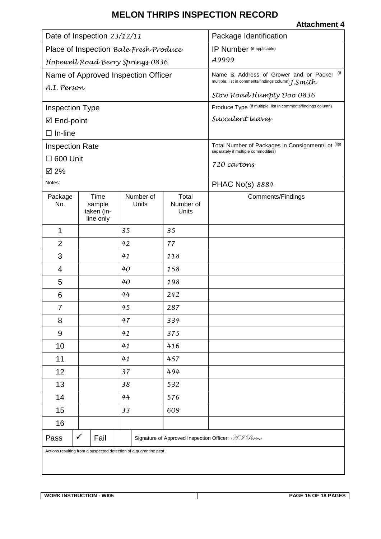#### **Attachment 4**

| Date of Inspection 23/12/11                                       |                                           |                                                     | Package Identification                                                                            |                                                              |  |
|-------------------------------------------------------------------|-------------------------------------------|-----------------------------------------------------|---------------------------------------------------------------------------------------------------|--------------------------------------------------------------|--|
| Place of Inspection Bale Fresh Produce                            |                                           |                                                     | IP Number (if applicable)                                                                         |                                                              |  |
| Hopewell Road Berry Springs 0836                                  |                                           |                                                     | A9999                                                                                             |                                                              |  |
| Name of Approved Inspection Officer                               |                                           |                                                     | Name & Address of Grower and or Packer (if<br>multiple, list in comments/findings column) [.Smith |                                                              |  |
| A.I. Person                                                       |                                           |                                                     |                                                                                                   | Stow Road Humpty Doo 0836                                    |  |
| <b>Inspection Type</b>                                            |                                           |                                                     |                                                                                                   | Produce Type (if multiple, list in comments/findings column) |  |
| ☑ End-point                                                       |                                           |                                                     |                                                                                                   | Succulent leaves                                             |  |
| $\Box$ In-line                                                    |                                           |                                                     |                                                                                                   |                                                              |  |
| <b>Inspection Rate</b>                                            |                                           |                                                     |                                                                                                   | Total Number of Packages in Consignment/Lot (list            |  |
| $\square$ 600 Unit                                                |                                           |                                                     |                                                                                                   | separately if multiple commodities)<br>720 cartons           |  |
| ☑ 2%                                                              |                                           |                                                     |                                                                                                   |                                                              |  |
| Notes:                                                            |                                           |                                                     |                                                                                                   | PHAC No(s) 8884                                              |  |
| Package<br>No.                                                    | Time<br>sample<br>taken (in-<br>line only | Number of<br>Units                                  | Total<br>Number of<br>Units                                                                       | Comments/Findings                                            |  |
| 1                                                                 |                                           | 35                                                  | 35                                                                                                |                                                              |  |
| $\overline{2}$                                                    |                                           | 42                                                  | 77                                                                                                |                                                              |  |
| 3                                                                 |                                           | 41                                                  | 118                                                                                               |                                                              |  |
| 4                                                                 |                                           | 40                                                  | 158                                                                                               |                                                              |  |
| 5                                                                 |                                           | 40                                                  | 198                                                                                               |                                                              |  |
| 6                                                                 |                                           | 44                                                  | 242                                                                                               |                                                              |  |
| $\overline{7}$                                                    |                                           | 45                                                  | 287                                                                                               |                                                              |  |
| 8                                                                 |                                           | 47                                                  | 334                                                                                               |                                                              |  |
| $\boldsymbol{9}$                                                  |                                           | 41                                                  | 375                                                                                               |                                                              |  |
| 10                                                                |                                           | 41                                                  | 416                                                                                               |                                                              |  |
| 11                                                                |                                           | 41                                                  | 457                                                                                               |                                                              |  |
| 12                                                                |                                           | 37                                                  | 494                                                                                               |                                                              |  |
| 13                                                                |                                           | 38                                                  | 532                                                                                               |                                                              |  |
| 14                                                                |                                           | 44                                                  | 576                                                                                               |                                                              |  |
| 15                                                                |                                           | 33                                                  | 609                                                                                               |                                                              |  |
| 16                                                                |                                           |                                                     |                                                                                                   |                                                              |  |
| Pass                                                              | $\checkmark$<br>Fail                      | Signature of Approved Inspection Officer: AJ Person |                                                                                                   |                                                              |  |
| Actions resulting from a suspected detection of a quarantine pest |                                           |                                                     |                                                                                                   |                                                              |  |

 $\overline{\phantom{a}}$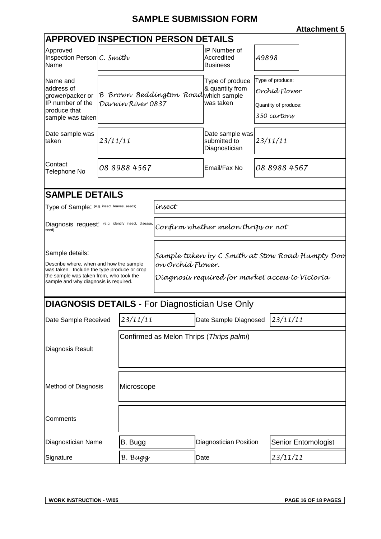# **SAMPLE SUBMISSION FORM**

**Attachment 5**

<span id="page-15-0"></span>

| <b>APPROVED INSPECTION PERSON DETAILS</b>                                                                                                                                                     |                                          |                   |                                                                                                                          |                                                       |                                                                          |  |  |
|-----------------------------------------------------------------------------------------------------------------------------------------------------------------------------------------------|------------------------------------------|-------------------|--------------------------------------------------------------------------------------------------------------------------|-------------------------------------------------------|--------------------------------------------------------------------------|--|--|
| Approved<br>Inspection Person $ C.$ Smith<br>Name                                                                                                                                             |                                          |                   |                                                                                                                          | IP Number of<br>Accredited<br><b>Business</b>         | A9898                                                                    |  |  |
| Name and<br>address of<br>grower/packer or<br>IP number of the<br>produce that<br>sample was taken                                                                                            |                                          | Darwin River 0837 | B Brown Beddington Roadwhich sample                                                                                      | Type of produce<br>& quantity from<br>was taken       | Type of produce:<br>Orchíd Flower<br>Quantity of produce:<br>350 cartons |  |  |
| Date sample was<br>taken                                                                                                                                                                      | 23/11/11                                 |                   |                                                                                                                          | Date sample was<br>submitted to<br>Diagnostician      | 23/11/11                                                                 |  |  |
| Contact<br>Telephone No                                                                                                                                                                       |                                          | 08 8988 4567      |                                                                                                                          | Email/Fax No                                          | 08 8988 4567                                                             |  |  |
| <b>SAMPLE DETAILS</b>                                                                                                                                                                         |                                          |                   |                                                                                                                          |                                                       |                                                                          |  |  |
| Type of Sample: (e.g. insect, leaves, seeds)                                                                                                                                                  |                                          |                   | ínsect                                                                                                                   |                                                       |                                                                          |  |  |
|                                                                                                                                                                                               |                                          |                   |                                                                                                                          |                                                       |                                                                          |  |  |
| Diagnosis request: (e.g. identify insect, disease,<br>seed)                                                                                                                                   |                                          |                   |                                                                                                                          | Confirm whether melon thrips or not                   |                                                                          |  |  |
| Sample details:<br>Describe where, when and how the sample<br>was taken. Include the type produce or crop<br>the sample was taken from, who took the<br>sample and why diagnosis is required. |                                          |                   | Sample taken by C Smith at Stow Road Humpty Doo<br>on Orchíd Flower.<br>Díagnosís requíred for market access to Víctoría |                                                       |                                                                          |  |  |
|                                                                                                                                                                                               |                                          |                   |                                                                                                                          | <b>DIAGNOSIS DETAILS - For Diagnostician Use Only</b> |                                                                          |  |  |
| Date Sample Received 23/11/11                                                                                                                                                                 |                                          |                   | Date Sample Diagnosed 23/11/11                                                                                           |                                                       |                                                                          |  |  |
| Diagnosis Result                                                                                                                                                                              |                                          |                   |                                                                                                                          | Confirmed as Melon Thrips (Thrips palmi)              |                                                                          |  |  |
|                                                                                                                                                                                               | <b>Method of Diagnosis</b><br>Microscope |                   |                                                                                                                          |                                                       |                                                                          |  |  |
| Comments                                                                                                                                                                                      |                                          |                   |                                                                                                                          |                                                       |                                                                          |  |  |
| Diagnostician Name                                                                                                                                                                            |                                          | B. Bugg           |                                                                                                                          | Diagnostician Position                                | Senior Entomologist                                                      |  |  |
| Signature                                                                                                                                                                                     |                                          | B. Bugg           |                                                                                                                          | Date                                                  | 23/11/11                                                                 |  |  |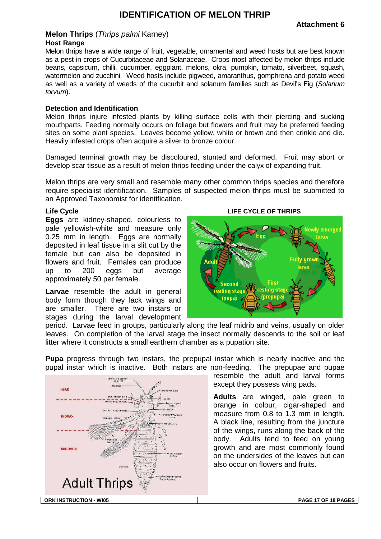## **IDENTIFICATION OF MELON THRIP**

#### <span id="page-16-0"></span>**Melon Thrips** (*Thrips palmi* Karney) **Host Range**

Melon thrips have a wide range of fruit, vegetable, ornamental and weed hosts but are best known as a pest in crops of Cucurbitaceae and Solanaceae. Crops most affected by melon thrips include beans, capsicum, chilli, cucumber, eggplant, melons, okra, pumpkin, tomato, silverbeet, squash, watermelon and zucchini. Weed hosts include pigweed, amaranthus, gomphrena and potato weed as well as a variety of weeds of the cucurbit and solanum families such as Devil's Fig (*Solanum torvum*).

#### **Detection and Identification**

Melon thrips injure infested plants by killing surface cells with their piercing and sucking mouthparts. Feeding normally occurs on foliage but flowers and fruit may be preferred feeding sites on some plant species. Leaves become yellow, white or brown and then crinkle and die. Heavily infested crops often acquire a silver to bronze colour.

Damaged terminal growth may be discoloured, stunted and deformed. Fruit may abort or develop scar tissue as a result of melon thrips feeding under the calyx of expanding fruit.

Melon thrips are very small and resemble many other common thrips species and therefore require specialist identification. Samples of suspected melon thrips must be submitted to an Approved Taxonomist for identification.

#### **Life Cycle**

**Eggs** are kidney-shaped, colourless to pale yellowish-white and measure only 0.25 mm in length. Eggs are normally deposited in leaf tissue in a slit cut by the female but can also be deposited in flowers and fruit. Females can produce up to 200 eggs but average approximately 50 per female.

**Larvae** resemble the adult in general body form though they lack wings and are smaller. There are two instars or stages during the larval development



period. Larvae feed in groups, particularly along the leaf midrib and veins, usually on older leaves. On completion of the larval stage the insect normally descends to the soil or leaf litter where it constructs a small earthern chamber as a pupation site.

**Pupa** progress through two instars, the prepupal instar which is nearly inactive and the pupal instar which is inactive. Both instars are non-feeding. The prepupae and pupae



resemble the adult and larval forms except they possess wing pads.

**Adults** are winged, pale green to orange in colour, cigar-shaped and measure from 0.8 to 1.3 mm in length. A black line, resulting from the juncture of the wings, runs along the back of the body. Adults tend to feed on young growth and are most commonly found on the undersides of the leaves but can also occur on flowers and fruits.